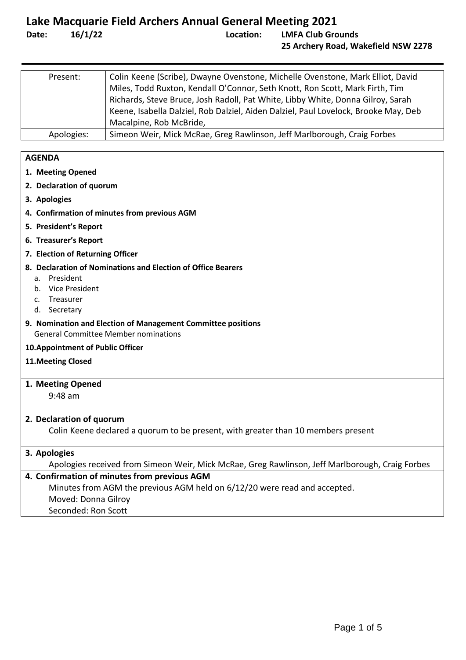| Present:   | Colin Keene (Scribe), Dwayne Ovenstone, Michelle Ovenstone, Mark Elliot, David      |
|------------|-------------------------------------------------------------------------------------|
|            | Miles, Todd Ruxton, Kendall O'Connor, Seth Knott, Ron Scott, Mark Firth, Tim        |
|            | Richards, Steve Bruce, Josh Radoll, Pat White, Libby White, Donna Gilroy, Sarah     |
|            | Keene, Isabella Dalziel, Rob Dalziel, Aiden Dalziel, Paul Lovelock, Brooke May, Deb |
|            | Macalpine, Rob McBride,                                                             |
| Apologies: | Simeon Weir, Mick McRae, Greg Rawlinson, Jeff Marlborough, Craig Forbes             |

#### **AGENDA**

- **1. [Meeting Opened](#page-0-0)**
- **2. [Declaration of quorum](#page-0-1)**
- **3. [Apologies](#page-0-2)**
- **4. [Confirmation of minutes from previous AGM](#page-0-3)**
- **5. [President's Report](#page-1-0)**
- **6. [Treasurer's Report](#page-2-0)**
- **7. [Election of Returning Officer](#page-3-0)**
- **8. [Declaration of Nominations and Election of Office Bearers](#page-3-1)**
	- a. [President](#page-3-2)
	- b. [Vice President](#page-3-3)
	- c. [Treasurer](#page-3-4)
	- d. [Secretary](#page-3-5)
- **9. [Nomination and Election of Management Committee positions](#page-3-6)** [General Committee Member nominations](#page-3-7)
- **[10.Appointment of Public Officer](#page-4-0)**
- **[11.Meeting Closed](#page-4-1)**
- <span id="page-0-0"></span>**1. Meeting Opened**

9:48 am

#### <span id="page-0-1"></span>**2. Declaration of quorum**

Colin Keene declared a quorum to be present, with greater than 10 members present

### <span id="page-0-2"></span>**3. Apologies**

Apologies received from Simeon Weir, Mick McRae, Greg Rawlinson, Jeff Marlborough, Craig Forbes

#### <span id="page-0-3"></span>**4. Confirmation of minutes from previous AGM**

Minutes from AGM the previous AGM held on 6/12/20 were read and accepted.

- Moved: Donna Gilroy
- Seconded: Ron Scott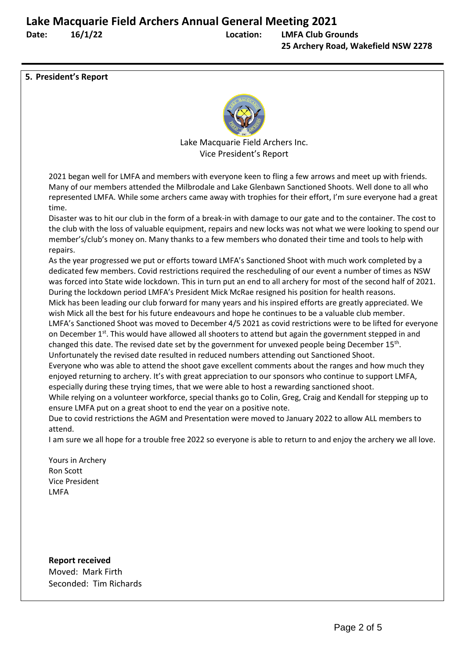<span id="page-1-0"></span>**5. President's Report**



Lake Macquarie Field Archers Inc. Vice President's Report

2021 began well for LMFA and members with everyone keen to fling a few arrows and meet up with friends. Many of our members attended the Milbrodale and Lake Glenbawn Sanctioned Shoots. Well done to all who represented LMFA. While some archers came away with trophies for their effort, I'm sure everyone had a great time.

Disaster was to hit our club in the form of a break-in with damage to our gate and to the container. The cost to the club with the loss of valuable equipment, repairs and new locks was not what we were looking to spend our member's/club's money on. Many thanks to a few members who donated their time and tools to help with repairs.

As the year progressed we put or efforts toward LMFA's Sanctioned Shoot with much work completed by a dedicated few members. Covid restrictions required the rescheduling of our event a number of times as NSW was forced into State wide lockdown. This in turn put an end to all archery for most of the second half of 2021. During the lockdown period LMFA's President Mick McRae resigned his position for health reasons. Mick has been leading our club forward for many years and his inspired efforts are greatly appreciated. We wish Mick all the best for his future endeavours and hope he continues to be a valuable club member. LMFA's Sanctioned Shoot was moved to December 4/5 2021 as covid restrictions were to be lifted for everyone on December  $1<sup>st</sup>$ . This would have allowed all shooters to attend but again the government stepped in and changed this date. The revised date set by the government for unvexed people being December 15<sup>th</sup>. Unfortunately the revised date resulted in reduced numbers attending out Sanctioned Shoot.

Everyone who was able to attend the shoot gave excellent comments about the ranges and how much they enjoyed returning to archery. It's with great appreciation to our sponsors who continue to support LMFA, especially during these trying times, that we were able to host a rewarding sanctioned shoot.

While relying on a volunteer workforce, special thanks go to Colin, Greg, Craig and Kendall for stepping up to ensure LMFA put on a great shoot to end the year on a positive note.

Due to covid restrictions the AGM and Presentation were moved to January 2022 to allow ALL members to attend.

I am sure we all hope for a trouble free 2022 so everyone is able to return to and enjoy the archery we all love.

Yours in Archery Ron Scott Vice President LMFA

**Report received** Moved: Mark Firth Seconded: Tim Richards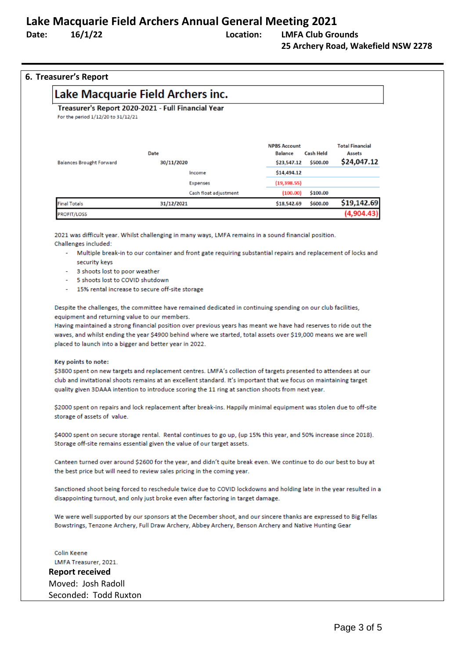### **Lake Macquarie Field Archers Annual General Meeting 2021**

### **Date: 16/1/22 Location: LMFA Club Grounds 25 Archery Road, Wakefield NSW 2278**

#### <span id="page-2-0"></span>**6. Treasurer's Report**

| For the period 1/12/20 to 31/12/21 | Treasurer's Report 2020-2021 - Full Financial Year |                                |                  |                                  |
|------------------------------------|----------------------------------------------------|--------------------------------|------------------|----------------------------------|
|                                    | Date                                               | <b>NPBS Account</b><br>Balance | <b>Cash Held</b> | <b>Total Financial</b><br>Assets |
| <b>Balances Brought Forward</b>    | 30/11/2020                                         | \$23,547.12                    | \$500.00         | \$24,047.12                      |
|                                    | Income                                             | \$14,494.12                    |                  |                                  |
|                                    | Expenses                                           | (19,398.55)                    |                  |                                  |
|                                    | Cash float adjustment                              | (100.00)                       | \$100.00         |                                  |
| <b>Final Totals</b>                | 31/12/2021                                         | \$18,542.69                    | \$600.00         | \$19,142.69                      |
| <b>PROFIT/LOSS</b>                 |                                                    |                                |                  | (4.904.43)                       |

2021 was difficult year. Whilst challenging in many ways, LMFA remains in a sound financial position. Challenges included:

- Multiple break-in to our container and front gate requiring substantial repairs and replacement of locks and security keys
- 3 shoots lost to poor weather
- 5 shoots lost to COVID shutdown
- 15% rental increase to secure off-site storage

Despite the challenges, the committee have remained dedicated in continuing spending on our club facilities, equipment and returning value to our members.

Having maintained a strong financial position over previous years has meant we have had reserves to ride out the waves, and whilst ending the year \$4900 behind where we started, total assets over \$19,000 means we are well placed to launch into a bigger and better year in 2022.

#### Key points to note:

\$3800 spent on new targets and replacement centres. LMFA's collection of targets presented to attendees at our club and invitational shoots remains at an excellent standard. It's important that we focus on maintaining target quality given 3DAAA intention to introduce scoring the 11 ring at sanction shoots from next year.

\$2000 spent on repairs and lock replacement after break-ins. Happily minimal equipment was stolen due to off-site storage of assets of value.

\$4000 spent on secure storage rental. Rental continues to go up, (up 15% this year, and 50% increase since 2018). Storage off-site remains essential given the value of our target assets.

Canteen turned over around \$2600 for the year, and didn't quite break even. We continue to do our best to buy at the best price but will need to review sales pricing in the coming year.

Sanctioned shoot being forced to reschedule twice due to COVID lockdowns and holding late in the year resulted in a disappointing turnout, and only just broke even after factoring in target damage.

We were well supported by our sponsors at the December shoot, and our sincere thanks are expressed to Big Fellas Bowstrings, Tenzone Archery, Full Draw Archery, Abbey Archery, Benson Archery and Native Hunting Gear

Colin Keene LMFA Treasurer, 2021. **Report received** Moved: Josh Radoll Seconded: Todd Ruxton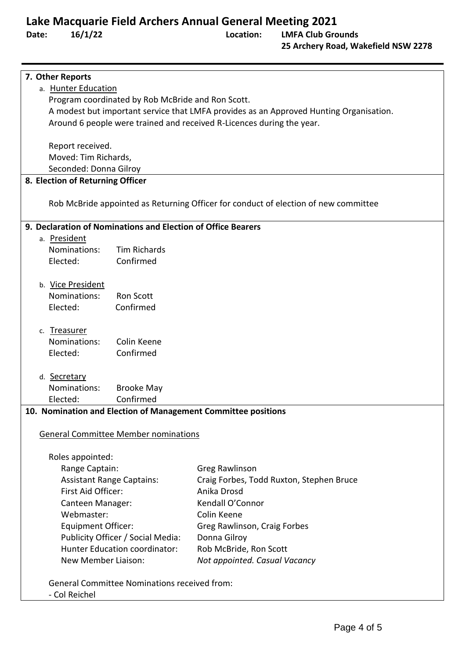## **Lake Macquarie Field Archers Annual General Meeting 2021**

<span id="page-3-7"></span><span id="page-3-6"></span><span id="page-3-5"></span><span id="page-3-4"></span><span id="page-3-3"></span><span id="page-3-2"></span><span id="page-3-1"></span><span id="page-3-0"></span>

| 7. Other Reports                                                                       |                                                                                     |  |  |  |  |  |
|----------------------------------------------------------------------------------------|-------------------------------------------------------------------------------------|--|--|--|--|--|
| a. Hunter Education                                                                    |                                                                                     |  |  |  |  |  |
| Program coordinated by Rob McBride and Ron Scott.                                      |                                                                                     |  |  |  |  |  |
| A modest but important service that LMFA provides as an Approved Hunting Organisation. |                                                                                     |  |  |  |  |  |
| Around 6 people were trained and received R-Licences during the year.                  |                                                                                     |  |  |  |  |  |
|                                                                                        |                                                                                     |  |  |  |  |  |
| Report received.                                                                       |                                                                                     |  |  |  |  |  |
| Moved: Tim Richards,                                                                   |                                                                                     |  |  |  |  |  |
| Seconded: Donna Gilroy                                                                 |                                                                                     |  |  |  |  |  |
| 8. Election of Returning Officer                                                       |                                                                                     |  |  |  |  |  |
|                                                                                        |                                                                                     |  |  |  |  |  |
|                                                                                        | Rob McBride appointed as Returning Officer for conduct of election of new committee |  |  |  |  |  |
|                                                                                        |                                                                                     |  |  |  |  |  |
| 9. Declaration of Nominations and Election of Office Bearers                           |                                                                                     |  |  |  |  |  |
| a. President                                                                           |                                                                                     |  |  |  |  |  |
| Nominations:<br><b>Tim Richards</b>                                                    |                                                                                     |  |  |  |  |  |
| Confirmed<br>Elected:                                                                  |                                                                                     |  |  |  |  |  |
|                                                                                        |                                                                                     |  |  |  |  |  |
| b. Vice President                                                                      |                                                                                     |  |  |  |  |  |
| Nominations:<br><b>Ron Scott</b>                                                       |                                                                                     |  |  |  |  |  |
| Confirmed<br>Elected:                                                                  |                                                                                     |  |  |  |  |  |
|                                                                                        |                                                                                     |  |  |  |  |  |
| c. Treasurer                                                                           |                                                                                     |  |  |  |  |  |
| Colin Keene<br>Nominations:                                                            |                                                                                     |  |  |  |  |  |
| Confirmed<br>Elected:                                                                  |                                                                                     |  |  |  |  |  |
|                                                                                        |                                                                                     |  |  |  |  |  |
| d. Secretary                                                                           |                                                                                     |  |  |  |  |  |
| Nominations:<br><b>Brooke May</b>                                                      |                                                                                     |  |  |  |  |  |
| Confirmed<br>Elected:                                                                  |                                                                                     |  |  |  |  |  |
| 10. Nomination and Election of Management Committee positions                          |                                                                                     |  |  |  |  |  |
|                                                                                        |                                                                                     |  |  |  |  |  |
| <b>General Committee Member nominations</b>                                            |                                                                                     |  |  |  |  |  |
| Roles appointed:                                                                       |                                                                                     |  |  |  |  |  |
| Range Captain:<br>Greg Rawlinson                                                       |                                                                                     |  |  |  |  |  |
| <b>Assistant Range Captains:</b>                                                       | Craig Forbes, Todd Ruxton, Stephen Bruce                                            |  |  |  |  |  |
| First Aid Officer:                                                                     | Anika Drosd                                                                         |  |  |  |  |  |
| Canteen Manager:                                                                       | Kendall O'Connor                                                                    |  |  |  |  |  |
| Webmaster:                                                                             | Colin Keene                                                                         |  |  |  |  |  |
|                                                                                        |                                                                                     |  |  |  |  |  |
| <b>Equipment Officer:</b>                                                              | Greg Rawlinson, Craig Forbes                                                        |  |  |  |  |  |
| Publicity Officer / Social Media:                                                      | Donna Gilroy                                                                        |  |  |  |  |  |
| Hunter Education coordinator:                                                          | Rob McBride, Ron Scott                                                              |  |  |  |  |  |
| New Member Liaison:                                                                    | Not appointed. Casual Vacancy                                                       |  |  |  |  |  |
| <b>General Committee Nominations received from:</b>                                    |                                                                                     |  |  |  |  |  |
| - Col Reichel                                                                          |                                                                                     |  |  |  |  |  |
|                                                                                        |                                                                                     |  |  |  |  |  |